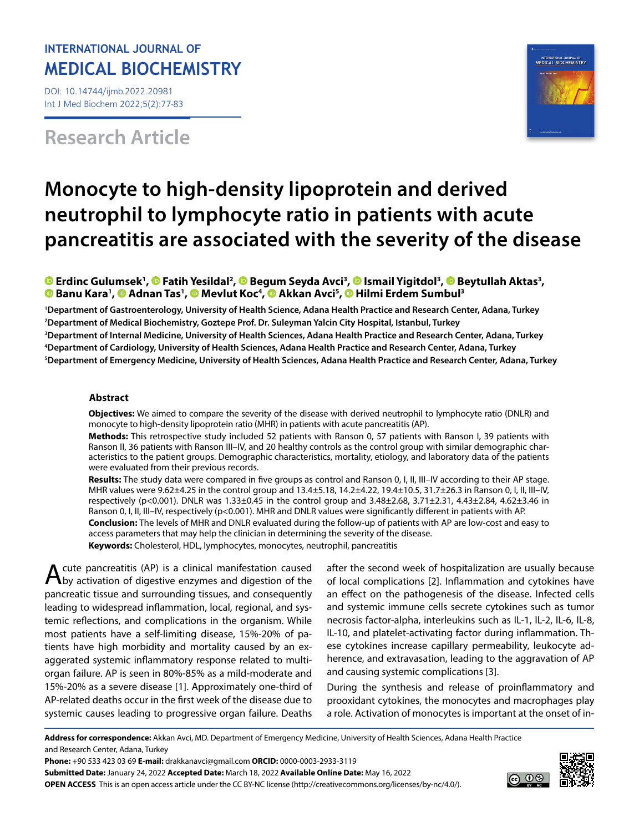### **INTERNATIONAL JOURNAL OF MEDICAL BIOCHEMISTRY**

DOI: 10.14744/ijmb.2022.20981 Int J Med Biochem 2022;5(2):77-83

## **Research Article**



# **Monocyte to high-density lipoprotein and derived neutrophil to lymphocyte ratio in patients with acute pancreatitis are associated with the severity of the disease**

**ErdincGulumsek<sup>1</sup>[,](https://orcid.org/0000-0002-5959-5374) © Fatih Yesildal<sup>2</sup>, © Begum Seyda Avci<sup>3</sup>, © Ismail Yigitdol<sup>3</sup>, © Beytullah Aktas<sup>3</sup>, Banu Kara1 ,Adnan Tas1 , [M](https://orcid.org/0000-0002-3000-4200)evlut Koc4 , [A](https://orcid.org/0000-0002-4627-0909)kkan Avci5 ,Hilmi Erdem Sumbul3**

 **Department of Gastroenterology, University of Health Science, Adana Health Practice and Research Center, Adana, Turkey Department of Medical Biochemistry, Goztepe Prof. Dr. Suleyman Yalcin City Hospital, Istanbul, Turkey Department of Internal Medicine, University of Health Sciences, Adana Health Practice and Research Center, Adana, Turkey Department of Cardiology, University of Health Sciences, Adana Health Practice and Research Center, Adana, Turkey Department of Emergency Medicine, University of Health Sciences, Adana Health Practice and Research Center, Adana, Turkey**

#### **Abstract**

**Objectives:** We aimed to compare the severity of the disease with derived neutrophil to lymphocyte ratio (DNLR) and monocyte to high-density lipoprotein ratio (MHR) in patients with acute pancreatitis (AP).

**Methods:** This retrospective study included 52 patients with Ranson 0, 57 patients with Ranson I, 39 patients with Ranson II, 36 patients with Ranson III–IV, and 20 healthy controls as the control group with similar demographic characteristics to the patient groups. Demographic characteristics, mortality, etiology, and laboratory data of the patients were evaluated from their previous records.

**Results:** The study data were compared in five groups as control and Ranson 0, I, II, III–IV according to their AP stage. MHR values were 9.62±4.25 in the control group and 13.4±5.18, 14.2±4.22, 19.4±10.5, 31.7±26.3 in Ranson 0, I, II, III–IV, respectively (p<0.001). DNLR was 1.33±0.45 in the control group and 3.48±2.68, 3.71±2.31, 4.43±2.84, 4.62±3.46 in Ranson 0, I, II, III-IV, respectively (p<0.001). MHR and DNLR values were significantly different in patients with AP. **Conclusion:** The levels of MHR and DNLR evaluated during the follow-up of patients with AP are low-cost and easy to access parameters that may help the clinician in determining the severity of the disease. **Keywords:** Cholesterol, HDL, lymphocytes, monocytes, neutrophil, pancreatitis

A cute pancreatitis (AP) is a clinical manifestation caused<br>Aby activation of digestive enzymes and digestion of the pancreatic tissue and surrounding tissues, and consequently leading to widespread inflammation, local, regional, and systemic reflections, and complications in the organism. While most patients have a self-limiting disease, 15%-20% of patients have high morbidity and mortality caused by an exaggerated systemic inflammatory response related to multiorgan failure. AP is seen in 80%-85% as a mild-moderate and 15%-20% as a severe disease [1]. Approximately one-third of AP-related deaths occur in the first week of the disease due to systemic causes leading to progressive organ failure. Deaths

after the second week of hospitalization are usually because of local complications [2]. Inflammation and cytokines have an effect on the pathogenesis of the disease. Infected cells and systemic immune cells secrete cytokines such as tumor necrosis factor-alpha, interleukins such as IL-1, IL-2, IL-6, IL-8, IL-10, and platelet-activating factor during inflammation. These cytokines increase capillary permeability, leukocyte adherence, and extravasation, leading to the aggravation of AP and causing systemic complications [3].

During the synthesis and release of proinflammatory and prooxidant cytokines, the monocytes and macrophages play a role. Activation of monocytes is important at the onset of in-

**Address for correspondence:** Akkan Avci, MD. Department of Emergency Medicine, University of Health Sciences, Adana Health Practice and Research Center, Adana, Turkey

**Phone:** +90 533 423 03 69 **E-mail:** drakkanavci@gmail.com **ORCID:** 0000-0003-2933-3119

**Submitted Date:** January 24, 2022 **Accepted Date:** March 18, 2022 **Available Online Date:** May 16, 2022 **OPEN ACCESS** This is an open access article under the CC BY-NC license (http://creativecommons.org/licenses/by-nc/4.0/).

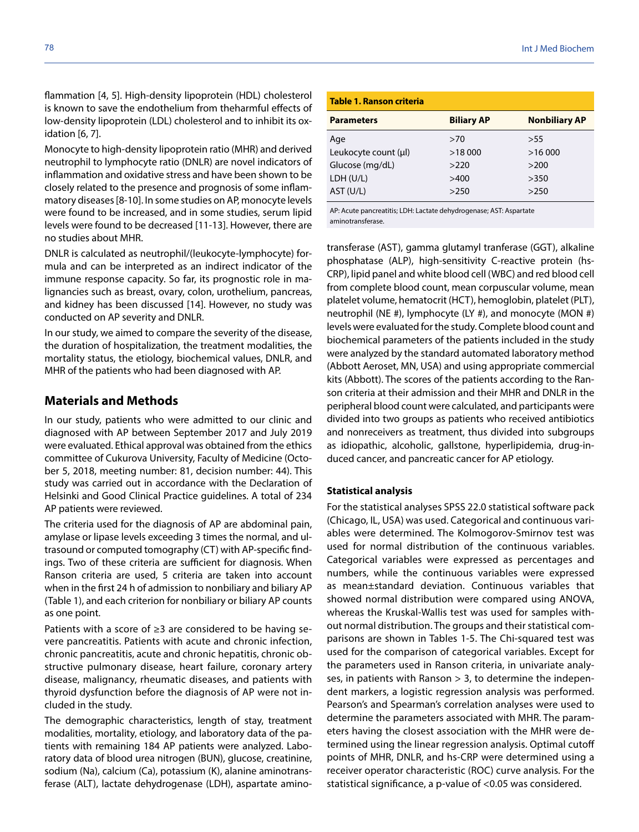flammation [4, 5]. High-density lipoprotein (HDL) cholesterol is known to save the endothelium from theharmful effects of low-density lipoprotein (LDL) cholesterol and to inhibit its oxidation [6, 7].

Monocyte to high-density lipoprotein ratio (MHR) and derived neutrophil to lymphocyte ratio (DNLR) are novel indicators of inflammation and oxidative stress and have been shown to be closely related to the presence and prognosis of some inflammatory diseases [8-10]. In some studies on AP, monocyte levels were found to be increased, and in some studies, serum lipid levels were found to be decreased [11-13]. However, there are no studies about MHR.

DNLR is calculated as neutrophil/(leukocyte-lymphocyte) formula and can be interpreted as an indirect indicator of the immune response capacity. So far, its prognostic role in malignancies such as breast, ovary, colon, urothelium, pancreas, and kidney has been discussed [14]. However, no study was conducted on AP severity and DNLR.

In our study, we aimed to compare the severity of the disease, the duration of hospitalization, the treatment modalities, the mortality status, the etiology, biochemical values, DNLR, and MHR of the patients who had been diagnosed with AP.

#### **Materials and Methods**

In our study, patients who were admitted to our clinic and diagnosed with AP between September 2017 and July 2019 were evaluated. Ethical approval was obtained from the ethics committee of Cukurova University, Faculty of Medicine (October 5, 2018, meeting number: 81, decision number: 44). This study was carried out in accordance with the Declaration of Helsinki and Good Clinical Practice guidelines. A total of 234 AP patients were reviewed.

The criteria used for the diagnosis of AP are abdominal pain, amylase or lipase levels exceeding 3 times the normal, and ultrasound or computed tomography (CT) with AP-specific findings. Two of these criteria are sufficient for diagnosis. When Ranson criteria are used, 5 criteria are taken into account when in the first 24 h of admission to nonbiliary and biliary AP (Table 1), and each criterion for nonbiliary or biliary AP counts as one point.

Patients with a score of ≥3 are considered to be having severe pancreatitis. Patients with acute and chronic infection, chronic pancreatitis, acute and chronic hepatitis, chronic obstructive pulmonary disease, heart failure, coronary artery disease, malignancy, rheumatic diseases, and patients with thyroid dysfunction before the diagnosis of AP were not included in the study.

The demographic characteristics, length of stay, treatment modalities, mortality, etiology, and laboratory data of the patients with remaining 184 AP patients were analyzed. Laboratory data of blood urea nitrogen (BUN), glucose, creatinine, sodium (Na), calcium (Ca), potassium (K), alanine aminotransferase (ALT), lactate dehydrogenase (LDH), aspartate amino-

### **Table 1. Ranson criteria Parameters Biliary AP Nonbiliary AP**

| Age                  | >70    | >55    |
|----------------------|--------|--------|
| Leukocyte count (µl) | >18000 | >16000 |
| Glucose (mg/dL)      | >220   | >200   |
| LDH (U/L)            | >400   | >350   |
| AST (U/L)            | >250   | >250   |
|                      |        |        |

AP: Acute pancreatitis; LDH: Lactate dehydrogenase; AST: Aspartate aminotransferase.

transferase (AST), gamma glutamyl tranferase (GGT), alkaline phosphatase (ALP), high-sensitivity C-reactive protein (hs-CRP), lipid panel and white blood cell (WBC) and red blood cell from complete blood count, mean corpuscular volume, mean platelet volume, hematocrit (HCT), hemoglobin, platelet (PLT), neutrophil (NE #), lymphocyte (LY #), and monocyte (MON #) levels were evaluated for the study. Complete blood count and biochemical parameters of the patients included in the study were analyzed by the standard automated laboratory method (Abbott Aeroset, MN, USA) and using appropriate commercial kits (Abbott). The scores of the patients according to the Ranson criteria at their admission and their MHR and DNLR in the peripheral blood count were calculated, and participants were divided into two groups as patients who received antibiotics and nonreceivers as treatment, thus divided into subgroups as idiopathic, alcoholic, gallstone, hyperlipidemia, drug-induced cancer, and pancreatic cancer for AP etiology.

#### **Statistical analysis**

For the statistical analyses SPSS 22.0 statistical software pack (Chicago, IL, USA) was used. Categorical and continuous variables were determined. The Kolmogorov-Smirnov test was used for normal distribution of the continuous variables. Categorical variables were expressed as percentages and numbers, while the continuous variables were expressed as mean±standard deviation. Continuous variables that showed normal distribution were compared using ANOVA, whereas the Kruskal-Wallis test was used for samples without normal distribution. The groups and their statistical comparisons are shown in Tables 1-5. The Chi-squared test was used for the comparison of categorical variables. Except for the parameters used in Ranson criteria, in univariate analyses, in patients with Ranson > 3, to determine the independent markers, a logistic regression analysis was performed. Pearson's and Spearman's correlation analyses were used to determine the parameters associated with MHR. The parameters having the closest association with the MHR were determined using the linear regression analysis. Optimal cutoff points of MHR, DNLR, and hs-CRP were determined using a receiver operator characteristic (ROC) curve analysis. For the statistical significance, a p-value of <0.05 was considered.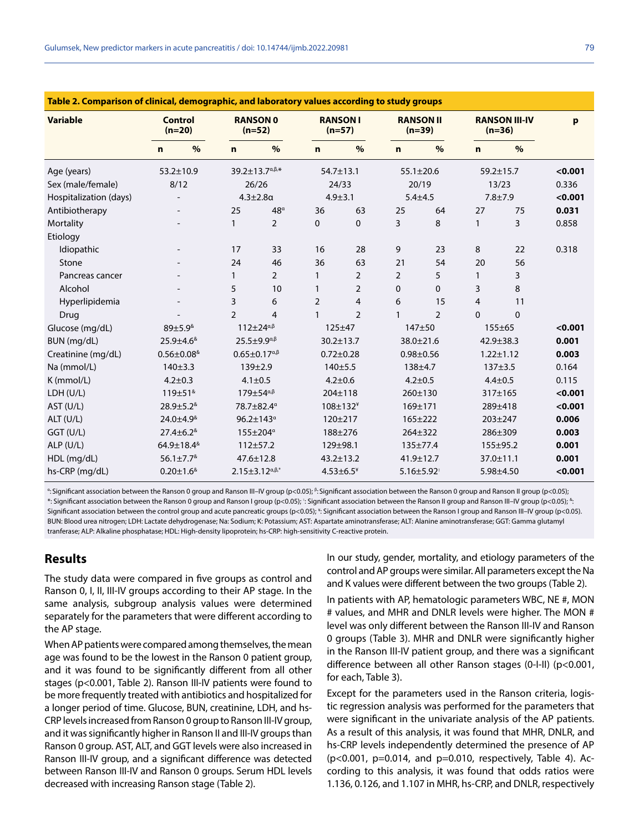| Table 2. Comparison of clinical, demographic, and laboratory values according to study groups |                                  |      |                             |                                  |                             |                            |                              |                              |                                  |                 |         |
|-----------------------------------------------------------------------------------------------|----------------------------------|------|-----------------------------|----------------------------------|-----------------------------|----------------------------|------------------------------|------------------------------|----------------------------------|-----------------|---------|
| <b>Variable</b>                                                                               | <b>Control</b><br>$(n=20)$       |      | <b>RANSON 0</b><br>$(n=52)$ |                                  | <b>RANSON I</b><br>$(n=57)$ |                            | <b>RANSON II</b><br>$(n=39)$ |                              | <b>RANSON III-IV</b><br>$(n=36)$ |                 | p       |
|                                                                                               | $\mathbf n$                      | $\%$ | $\mathbf n$                 | $\frac{9}{6}$                    | $\mathbf n$                 | %                          | n.                           | $\%$                         | $\mathbf n$                      | %               |         |
| Age (years)                                                                                   | $53.2 \pm 10.9$                  |      |                             | 39.2±13.7a, B,*                  |                             | $54.7 \pm 13.1$            |                              | $55.1 \pm 20.6$              |                                  | $59.2 \pm 15.7$ | < 0.001 |
| Sex (male/female)                                                                             | 8/12                             |      |                             | 26/26                            |                             | 24/33                      |                              | 20/19                        |                                  | 13/23           | 0.336   |
| Hospitalization (days)                                                                        |                                  |      |                             | $4.3 + 2.8a$                     |                             | $4.9 + 3.1$                |                              | $5.4 + 4.5$                  |                                  | $7.8 + 7.9$     | < 0.001 |
| Antibiotherapy                                                                                |                                  |      | 25                          | $48^{\alpha}$                    | 36                          | 63                         | 25                           | 64                           | 27                               | 75              | 0.031   |
| Mortality                                                                                     |                                  |      | $\mathbf{1}$                | $\overline{2}$                   | 0                           | 0                          | 3                            | 8                            | $\mathbf{1}$                     | 3               | 0.858   |
| Etiology                                                                                      |                                  |      |                             |                                  |                             |                            |                              |                              |                                  |                 |         |
| Idiopathic                                                                                    |                                  |      | 17                          | 33                               | 16                          | 28                         | 9                            | 23                           | 8                                | 22              | 0.318   |
| Stone                                                                                         |                                  |      | 24                          | 46                               | 36                          | 63                         | 21                           | 54                           | 20                               | 56              |         |
| Pancreas cancer                                                                               |                                  |      | $\mathbf{1}$                | $\overline{2}$                   | $\mathbf{1}$                | $\overline{2}$             | $\overline{2}$               | 5                            | $\mathbf{1}$                     | 3               |         |
| Alcohol                                                                                       |                                  |      | 5                           | 10                               | $\mathbf{1}$                | $\overline{2}$             | 0                            | $\Omega$                     | 3                                | 8               |         |
| Hyperlipidemia                                                                                |                                  |      | 3                           | 6                                | $\overline{2}$              | $\overline{4}$             | 6                            | 15                           | $\overline{4}$                   | 11              |         |
| Drug                                                                                          |                                  |      | $\overline{2}$              | $\overline{4}$                   | $\mathbf{1}$                | $\overline{2}$             | $\mathbf{1}$                 | $\overline{2}$               | $\Omega$                         | 0               |         |
| Glucose (mg/dL)                                                                               | 89±5.9 <sup>&amp;</sup>          |      |                             | $112 \pm 24^{\alpha,\beta}$      |                             | $125 + 47$                 |                              | 147±50                       |                                  | $155 + 65$      | < 0.001 |
| BUN (mg/dL)                                                                                   | 25.9±4.6 <sup>&amp;</sup>        |      |                             | $25.5 + 9.9^{\alpha,\beta}$      |                             | $30.2 \pm 13.7$            |                              | 38.0±21.6                    |                                  | 42.9±38.3       | 0.001   |
| Creatinine (mg/dL)                                                                            | $0.56 \pm 0.08$ <sup>&amp;</sup> |      |                             | $0.65 \pm 0.17^{\alpha,\beta}$   |                             | $0.72 \pm 0.28$            |                              | $0.98 + 0.56$                |                                  | $1.22 \pm 1.12$ | 0.003   |
| Na (mmol/L)                                                                                   | 140±3.3                          |      |                             | $139 \pm 2.9$                    |                             | 140±5.5                    |                              | $138 + 4.7$                  |                                  | $137 + 3.5$     | 0.164   |
| K (mmol/L)                                                                                    | $4.2 \pm 0.3$                    |      |                             | $4.1 \pm 0.5$                    |                             | $4.2 \pm 0.6$              |                              | $4.2 + 0.5$                  |                                  | $4.4 \pm 0.5$   | 0.115   |
| LDH (U/L)                                                                                     | 119±51 <sup>&amp;</sup>          |      |                             | 179±54a, B                       |                             | 204±118                    |                              | 260±130                      |                                  | 317±165         | < 0.001 |
| AST (U/L)                                                                                     | $28.9 \pm 5.2$ <sup>&amp;</sup>  |      |                             | 78.7±82.4a                       |                             | $108 \pm 132$ <sup>*</sup> |                              | $169 + 171$                  |                                  | 289±418         | < 0.001 |
| ALT (U/L)                                                                                     | $24.0 \pm 4.9$ <sup>&amp;</sup>  |      |                             | $96.2 \pm 143^{\circ}$           |                             | $120 + 217$                |                              | $165 + 222$                  |                                  | 203±247         | 0.006   |
| GGT (U/L)                                                                                     | $27.4 \pm 6.2$ <sup>&amp;</sup>  |      |                             | 155±204 <sup>a</sup>             |                             | 188±276                    |                              | 264±322                      |                                  | 286±309         | 0.003   |
| $ALP$ (U/L)                                                                                   | 64.9±18.4 <sup>&amp;</sup>       |      |                             | $112 + 57.2$                     |                             | 129±98.1                   |                              | 135±77.4                     |                                  | 155±95.2        | 0.001   |
| HDL (mg/dL)                                                                                   | $56.1 \pm 7.7$ <sup>&amp;</sup>  |      |                             | $47.6 \pm 12.8$                  |                             | $43.2 \pm 13.2$            |                              | 41.9±12.7                    |                                  | 37.0±11.1       | 0.001   |
| hs-CRP (mg/dL)                                                                                | $0.20 \pm 1.6$ <sup>&amp;</sup>  |      |                             | $2.15 \pm 3.12^{\alpha,\beta,*}$ |                             | $4.53 \pm 6.5^*$           |                              | $5.16 \pm 5.92$ <sup>*</sup> |                                  | 5.98±4.50       | < 0.001 |

<sup>α</sup>: Significant association between the Ranson 0 group and Ranson III–IV group (p<0.05); <sup>β</sup>: Significant association between the Ranson 0 group and Ranson II group (p<0.05); \*: Significant association between the Ranson 0 group and Ranson I group (p<0.05);  $\cdot$ : Significant association between the Ranson II group and Ranson III–IV group (p<0.05);  $\text{\tiny{}^8}$ Significant association between the control group and acute pancreatic groups (p<0.05);  $*$ : Significant association between the Ranson I group and Ranson III–IV group (p<0.05). BUN: Blood urea nitrogen; LDH: Lactate dehydrogenase; Na: Sodium; K: Potassium; AST: Aspartate aminotransferase; ALT: Alanine aminotransferase; GGT: Gamma glutamyl tranferase; ALP: Alkaline phosphatase; HDL: High-density lipoprotein; hs-CRP: high-sensitivity C-reactive protein.

#### **Results**

The study data were compared in five groups as control and Ranson 0, I, II, III-IV groups according to their AP stage. In the same analysis, subgroup analysis values were determined separately for the parameters that were different according to the AP stage.

When AP patients were compared among themselves, the mean age was found to be the lowest in the Ranson 0 patient group, and it was found to be significantly different from all other stages (p<0.001, Table 2). Ranson III-IV patients were found to be more frequently treated with antibiotics and hospitalized for a longer period of time. Glucose, BUN, creatinine, LDH, and hs-CRP levels increased from Ranson 0 group to Ranson III-IV group, and it was significantly higher in Ranson II and III-IV groups than Ranson 0 group. AST, ALT, and GGT levels were also increased in Ranson III-IV group, and a significant difference was detected between Ranson III-IV and Ranson 0 groups. Serum HDL levels decreased with increasing Ranson stage (Table 2).

In our study, gender, mortality, and etiology parameters of the control and AP groups were similar. All parameters except the Na and K values were different between the two groups (Table 2).

In patients with AP, hematologic parameters WBC, NE #, MON # values, and MHR and DNLR levels were higher. The MON # level was only different between the Ranson III-IV and Ranson 0 groups (Table 3). MHR and DNLR were significantly higher in the Ranson III-IV patient group, and there was a significant difference between all other Ranson stages (0-I-II) (p<0.001, for each, Table 3).

Except for the parameters used in the Ranson criteria, logistic regression analysis was performed for the parameters that were significant in the univariate analysis of the AP patients. As a result of this analysis, it was found that MHR, DNLR, and hs-CRP levels independently determined the presence of AP  $(p<0.001, p=0.014,$  and  $p=0.010,$  respectively, Table 4). According to this analysis, it was found that odds ratios were 1.136, 0.126, and 1.107 in MHR, hs-CRP, and DNLR, respectively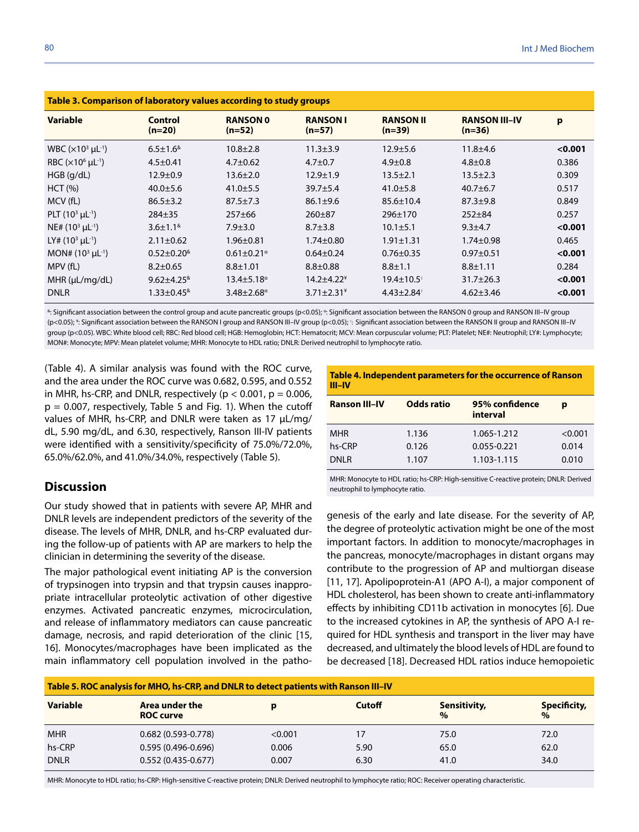| Table 3. Comparison of laboratory values according to study groups |                                  |                              |                           |                              |                                  |         |  |  |  |
|--------------------------------------------------------------------|----------------------------------|------------------------------|---------------------------|------------------------------|----------------------------------|---------|--|--|--|
| <b>Variable</b>                                                    | Control<br>$(n=20)$              | <b>RANSON 0</b><br>$(n=52)$  | <b>RANSON I</b><br>(n=57) | <b>RANSON II</b><br>$(n=39)$ | <b>RANSON III-IV</b><br>$(n=36)$ | p       |  |  |  |
| WBC $(x10^3 \mu L^{-1})$                                           | $6.5 \pm 1.6^8$                  | $10.8 + 2.8$                 | $11.3 \pm 3.9$            | $12.9 + 5.6$                 | $11.8 + 4.6$                     | < 0.001 |  |  |  |
| RBC $(x10^6 \mu L^{-1})$                                           | $4.5 \pm 0.41$                   | $4.7 \pm 0.62$               | $4.7 \pm 0.7$             | $4.9 \pm 0.8$                | $4.8 \pm 0.8$                    | 0.386   |  |  |  |
| $HGB$ (g/dL)                                                       | $12.9 \pm 0.9$                   | $13.6 \pm 2.0$               | $12.9 \pm 1.9$            | $13.5 \pm 2.1$               | $13.5 \pm 2.3$                   | 0.309   |  |  |  |
| HCT (%)                                                            | $40.0 \pm 5.6$                   | $41.0 \pm 5.5$               | $39.7 \pm 5.4$            | $41.0 \pm 5.8$               | $40.7 + 6.7$                     | 0.517   |  |  |  |
| MCV (fL)                                                           | $86.5 \pm 3.2$                   | $87.5 \pm 7.3$               | $86.1 \pm 9.6$            | $85.6 \pm 10.4$              | $87.3 + 9.8$                     | 0.849   |  |  |  |
| PLT $(10^3 \mu L^{-1})$                                            | $284 \pm 35$                     | $257 + 66$                   | $260 + 87$                | $296 \pm 170$                | $252 + 84$                       | 0.257   |  |  |  |
| $NE# (103 \mu L^{-1})$                                             | $3.6 \pm 1.1^{\&}$               | $7.9 \pm 3.0$                | $8.7 \pm 3.8$             | $10.1 \pm 5.1$               | $9.3 + 4.7$                      | < 0.001 |  |  |  |
| LY# $(10^3 \mu L^{-1})$                                            | $2.11 \pm 0.62$                  | $1.96 \pm 0.81$              | $1.74 \pm 0.80$           | $1.91 \pm 1.31$              | $1.74 \pm 0.98$                  | 0.465   |  |  |  |
| MON# $(10^3 \mu L^{-1})$                                           | $0.52 \pm 0.20$ <sup>&amp;</sup> | $0.61 \pm 0.21$ <sup>a</sup> | $0.64 \pm 0.24$           | $0.76 \pm 0.35$              | $0.97 + 0.51$                    | < 0.001 |  |  |  |
| MPV (fL)                                                           | $8.2 \pm 0.65$                   | $8.8 \pm 1.01$               | $8.8 + 0.88$              | $8.8 \pm 1.1$                | $8.8 \pm 1.11$                   | 0.284   |  |  |  |
| MHR (µL/mq/dL)                                                     | $9.62 + 4.25$ <sup>&amp;</sup>   | $13.4 \pm 5.18^{\circ}$      | $14.2 + 4.22^*$           | $19.4 \pm 10.5$              | $31.7 \pm 26.3$                  | < 0.001 |  |  |  |
| <b>DNLR</b>                                                        | $1.33 \pm 0.45$ <sup>&amp;</sup> | $3.48 \pm 2.68$ <sup>a</sup> | $3.71 \pm 2.31^*$         | $4.43 \pm 2.84$              | $4.62 \pm 3.46$                  | < 0.001 |  |  |  |

#### **Table 3. Comparison of laboratory values according to study groups**

&: Significant association between the control group and acute pancreatic groups (p<0.05); ¤: Significant association between the RANSON 0 group and RANSON III–IV group (p<0.05); \*: Significant association between the RANSON I group and RANSON III–IV group (p<0.05);  $\cdot$  Significant association between the RANSON III group and RANSON III–IV group (p<0.05). WBC: White blood cell; RBC: Red blood cell; HGB: Hemoglobin; HCT: Hematocrit; MCV: Mean corpuscular volume; PLT: Platelet; NE#: Neutrophil; LY#: Lymphocyte; MON#: Monocyte; MPV: Mean platelet volume; MHR: Monocyte to HDL ratio; DNLR: Derived neutrophil to lymphocyte ratio.

(Table 4). A similar analysis was found with the ROC curve, and the area under the ROC curve was 0.682, 0.595, and 0.552 in MHR, hs-CRP, and DNLR, respectively ( $p < 0.001$ ,  $p = 0.006$ ,  $p = 0.007$ , respectively, Table 5 and Fig. 1). When the cutoff values of MHR, hs-CRP, and DNLR were taken as 17 µL/mg/ dL, 5.90 mg/dL, and 6.30, respectively, Ranson III-IV patients were identified with a sensitivity/specificity of 75.0%/72.0%, 65.0%/62.0%, and 41.0%/34.0%, respectively (Table 5).

#### **Discussion**

Our study showed that in patients with severe AP, MHR and DNLR levels are independent predictors of the severity of the disease. The levels of MHR, DNLR, and hs-CRP evaluated during the follow-up of patients with AP are markers to help the clinician in determining the severity of the disease.

The major pathological event initiating AP is the conversion of trypsinogen into trypsin and that trypsin causes inappropriate intracellular proteolytic activation of other digestive enzymes. Activated pancreatic enzymes, microcirculation, and release of inflammatory mediators can cause pancreatic damage, necrosis, and rapid deterioration of the clinic [15, 16]. Monocytes/macrophages have been implicated as the main inflammatory cell population involved in the patho-

| <b>Table 4. Independent parameters for the occurrence of Ranson</b> |
|---------------------------------------------------------------------|
| <b>III-IV</b>                                                       |

| <b>Ranson III-IV</b> | <b>Odds ratio</b> | 95% confidence<br>interval | р       |
|----------------------|-------------------|----------------------------|---------|
| <b>MHR</b>           | 1.136             | 1.065-1.212                | < 0.001 |
| hs-CRP               | 0.126             | 0.055-0.221                | 0.014   |
| DNI R                | 1.107             | 1.103-1.115                | 0.010   |

MHR: Monocyte to HDL ratio; hs-CRP: High-sensitive C-reactive protein; DNLR: Derived neutrophil to lymphocyte ratio.

genesis of the early and late disease. For the severity of AP, the degree of proteolytic activation might be one of the most important factors. In addition to monocyte/macrophages in the pancreas, monocyte/macrophages in distant organs may contribute to the progression of AP and multiorgan disease [11, 17]. Apolipoprotein-A1 (APO A-I), a major component of HDL cholesterol, has been shown to create anti-inflammatory effects by inhibiting CD11b activation in monocytes [6]. Due to the increased cytokines in AP, the synthesis of APO A-I required for HDL synthesis and transport in the liver may have decreased, and ultimately the blood levels of HDL are found to be decreased [18]. Decreased HDL ratios induce hemopoietic

| Table 5. ROC analysis for MHO, hs-CRP, and DNLR to detect patients with Ranson III-IV |                                    |         |               |                      |                               |  |  |
|---------------------------------------------------------------------------------------|------------------------------------|---------|---------------|----------------------|-------------------------------|--|--|
| <b>Variable</b>                                                                       | Area under the<br><b>ROC curve</b> |         | <b>Cutoff</b> | Sensitivity,<br>$\%$ | Specificity,<br>$\frac{6}{6}$ |  |  |
| <b>MHR</b>                                                                            | $0.682(0.593 - 0.778)$             | < 0.001 | 17            | 75.0                 | 72.0                          |  |  |
| hs-CRP                                                                                | $0.595(0.496 - 0.696)$             | 0.006   | 5.90          | 65.0                 | 62.0                          |  |  |
| <b>DNLR</b>                                                                           | $0.552(0.435 - 0.677)$             | 0.007   | 6.30          | 41.0                 | 34.0                          |  |  |

MHR: Monocyte to HDL ratio; hs-CRP: High-sensitive C-reactive protein; DNLR: Derived neutrophil to lymphocyte ratio; ROC: Receiver operating characteristic.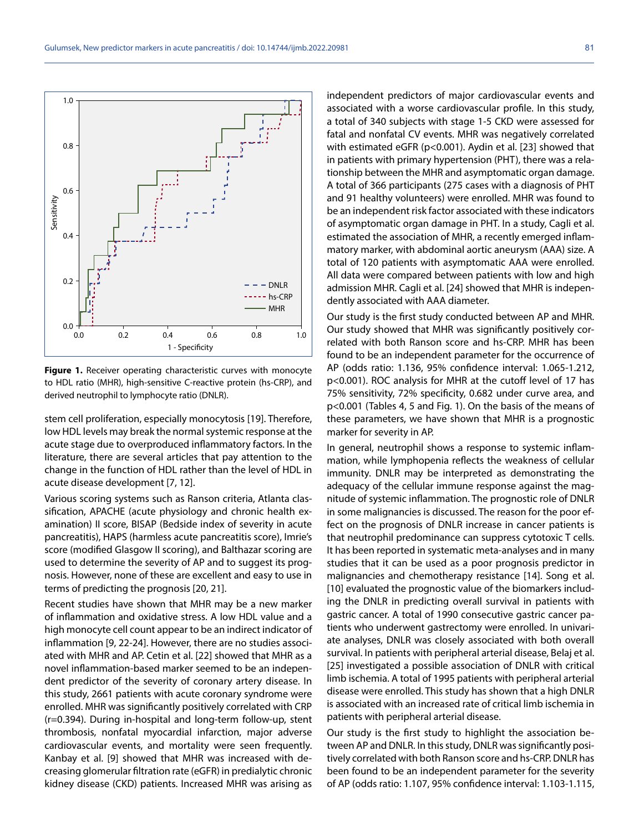Gulumsek, New predictor markers in acute pancreatitis / doi: 10.14744/ijmb.2022.20981 81

**Figure 1.** Receiver operating characteristic curves with monocyte to HDL ratio (MHR), high-sensitive C-reactive protein (hs-CRP), and

stem cell proliferation, especially monocytosis [19]. Therefore, low HDL levels may break the normal systemic response at the acute stage due to overproduced inflammatory factors. In the literature, there are several articles that pay attention to the change in the function of HDL rather than the level of HDL in acute disease development [7, 12].

Various scoring systems such as Ranson criteria, Atlanta classification, APACHE (acute physiology and chronic health examination) II score, BISAP (Bedside index of severity in acute pancreatitis), HAPS (harmless acute pancreatitis score), Imrie's score (modified Glasgow II scoring), and Balthazar scoring are used to determine the severity of AP and to suggest its prognosis. However, none of these are excellent and easy to use in terms of predicting the prognosis [20, 21].

Recent studies have shown that MHR may be a new marker of inflammation and oxidative stress. A low HDL value and a high monocyte cell count appear to be an indirect indicator of inflammation [9, 22-24]. However, there are no studies associated with MHR and AP. Cetin et al. [22] showed that MHR as a novel inflammation-based marker seemed to be an independent predictor of the severity of coronary artery disease. In this study, 2661 patients with acute coronary syndrome were enrolled. MHR was significantly positively correlated with CRP (r=0.394). During in-hospital and long-term follow-up, stent thrombosis, nonfatal myocardial infarction, major adverse cardiovascular events, and mortality were seen frequently. Kanbay et al. [9] showed that MHR was increased with decreasing glomerular filtration rate (eGFR) in predialytic chronic kidney disease (CKD) patients. Increased MHR was arising as independent predictors of major cardiovascular events and associated with a worse cardiovascular profile. In this study, a total of 340 subjects with stage 1-5 CKD were assessed for fatal and nonfatal CV events. MHR was negatively correlated with estimated eGFR (p<0.001). Aydin et al. [23] showed that in patients with primary hypertension (PHT), there was a relationship between the MHR and asymptomatic organ damage. A total of 366 participants (275 cases with a diagnosis of PHT and 91 healthy volunteers) were enrolled. MHR was found to be an independent risk factor associated with these indicators of asymptomatic organ damage in PHT. In a study, Cagli et al. estimated the association of MHR, a recently emerged inflammatory marker, with abdominal aortic aneurysm (AAA) size. A total of 120 patients with asymptomatic AAA were enrolled. All data were compared between patients with low and high admission MHR. Cagli et al. [24] showed that MHR is independently associated with AAA diameter.

Our study is the first study conducted between AP and MHR. Our study showed that MHR was significantly positively correlated with both Ranson score and hs-CRP. MHR has been found to be an independent parameter for the occurrence of AP (odds ratio: 1.136, 95% confidence interval: 1.065-1.212, p<0.001). ROC analysis for MHR at the cutoff level of 17 has 75% sensitivity, 72% specificity, 0.682 under curve area, and p<0.001 (Tables 4, 5 and Fig. 1). On the basis of the means of these parameters, we have shown that MHR is a prognostic marker for severity in AP.

In general, neutrophil shows a response to systemic inflammation, while lymphopenia reflects the weakness of cellular immunity. DNLR may be interpreted as demonstrating the adequacy of the cellular immune response against the magnitude of systemic inflammation. The prognostic role of DNLR in some malignancies is discussed. The reason for the poor effect on the prognosis of DNLR increase in cancer patients is that neutrophil predominance can suppress cytotoxic T cells. It has been reported in systematic meta-analyses and in many studies that it can be used as a poor prognosis predictor in malignancies and chemotherapy resistance [14]. Song et al. [10] evaluated the prognostic value of the biomarkers including the DNLR in predicting overall survival in patients with gastric cancer. A total of 1990 consecutive gastric cancer patients who underwent gastrectomy were enrolled. In univariate analyses, DNLR was closely associated with both overall survival. In patients with peripheral arterial disease, Belaj et al. [25] investigated a possible association of DNLR with critical limb ischemia. A total of 1995 patients with peripheral arterial disease were enrolled. This study has shown that a high DNLR is associated with an increased rate of critical limb ischemia in patients with peripheral arterial disease.

Our study is the first study to highlight the association between AP and DNLR. In this study, DNLR was significantly positively correlated with both Ranson score and hs-CRP. DNLR has been found to be an independent parameter for the severity of AP (odds ratio: 1.107, 95% confidence interval: 1.103-1.115,

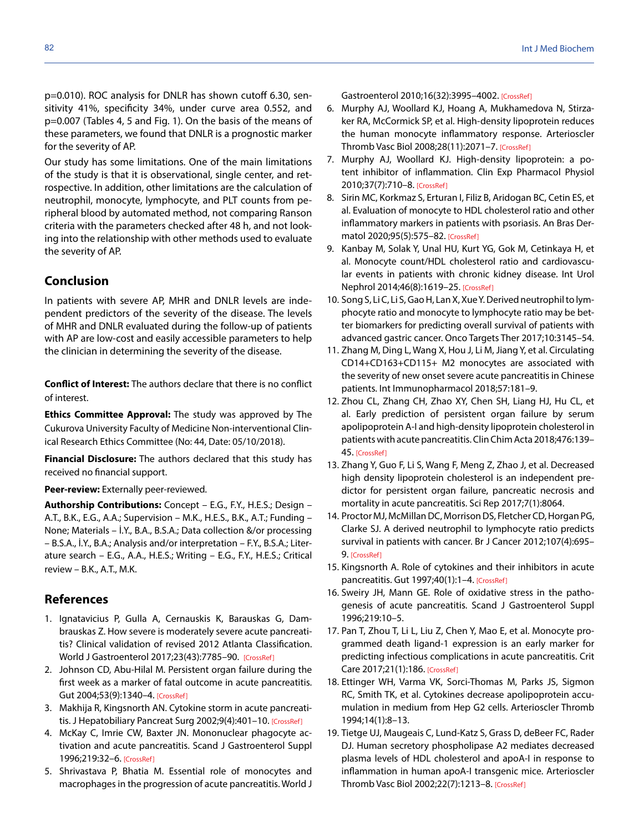p=0.010). ROC analysis for DNLR has shown cutoff 6.30, sensitivity 41%, specificity 34%, under curve area 0.552, and p=0.007 (Tables 4, 5 and Fig. 1). On the basis of the means of these parameters, we found that DNLR is a prognostic marker for the severity of AP.

Our study has some limitations. One of the main limitations of the study is that it is observational, single center, and retrospective. In addition, other limitations are the calculation of neutrophil, monocyte, lymphocyte, and PLT counts from peripheral blood by automated method, not comparing Ranson criteria with the parameters checked after 48 h, and not looking into the relationship with other methods used to evaluate the severity of AP.

#### **Conclusion**

In patients with severe AP, MHR and DNLR levels are independent predictors of the severity of the disease. The levels of MHR and DNLR evaluated during the follow-up of patients with AP are low-cost and easily accessible parameters to help the clinician in determining the severity of the disease.

**Conflict of Interest:** The authors declare that there is no conflict of interest.

**Ethics Committee Approval:** The study was approved by The Cukurova University Faculty of Medicine Non-interventional Clinical Research Ethics Committee (No: 44, Date: 05/10/2018).

**Financial Disclosure:** The authors declared that this study has received no financial support.

**Peer-review:** Externally peer-reviewed.

**Authorship Contributions:** Concept – E.G., F.Y., H.E.S.; Design – A.T., B.K., E.G., A.A.; Supervision – M.K., H.E.S., B.K., A.T.; Funding – None; Materials – İ.Y., B.A., B.S.A.; Data collection &/or processing – B.S.A., İ.Y., B.A.; Analysis and/or interpretation – F.Y., B.S.A.; Literature search – E.G., A.A., H.E.S.; Writing – E.G., F.Y., H.E.S.; Critical review – B.K., A.T., M.K.

#### **References**

- 1. Ignatavicius P, Gulla A, Cernauskis K, Barauskas G, Dambrauskas Z. How severe is moderately severe acute pancreatitis? Clinical validation of revised 2012 Atlanta Classification. World J Gastroenterol 2017;23(43):7785–9[0. \[CrossRef\]](https://doi.org/10.3748/wjg.v23.i43.7785)
- 2. Johnson CD, Abu-Hilal M. Persistent organ failure during the first week as a marker of fatal outcome in acute pancreatitis. Gut 2004;53(9):1340–[4. \[CrossRef\]](https://doi.org/10.1136/gut.2004.039883)
- 3. Makhija R, Kingsnorth AN. Cytokine storm in acute pancreati-tis. J Hepatobiliary Pancreat Surg 2002;9(4):401-10. [\[CrossRef\]](https://doi.org/10.1007/s005340200049)
- 4. McKay C, Imrie CW, Baxter JN. Mononuclear phagocyte activation and acute pancreatitis. Scand J Gastroenterol Suppl 1996;219:32[–6. \[CrossRef\]](https://doi.org/10.3109/00365529609104997)
- 5. Shrivastava P, Bhatia M. Essential role of monocytes and macrophages in the progression of acute pancreatitis. World J

Gastroenterol 2010;16(32):3995–400[2. \[CrossRef\]](https://doi.org/10.3748/wjg.v16.i32.3995)

- 6. Murphy AJ, Woollard KJ, Hoang A, Mukhamedova N, Stirzaker RA, McCormick SP, et al. High-density lipoprotein reduces the human monocyte inflammatory response. Arterioscler Thromb Vasc Biol 2008;28(11):2071–[7. \[CrossRef\]](https://doi.org/10.1161/ATVBAHA.108.168690)
- 7. Murphy AJ, Woollard KJ. High-density lipoprotein: a potent inhibitor of inflammation. Clin Exp Pharmacol Physiol 2010;37(7):710–8[. \[CrossRef\]](https://doi.org/10.1111/j.1440-1681.2009.05338.x)
- 8. Sirin MC, Korkmaz S, Erturan I, Filiz B, Aridogan BC, Cetin ES, et al. Evaluation of monocyte to HDL cholesterol ratio and other inflammatory markers in patients with psoriasis. An Bras Dermatol 2020;95(5):575–82[. \[CrossRef\]](https://doi.org/10.1016/j.abd.2020.02.008)
- 9. Kanbay M, Solak Y, Unal HU, Kurt YG, Gok M, Cetinkaya H, et al. Monocyte count/HDL cholesterol ratio and cardiovascular events in patients with chronic kidney disease. Int Urol Nephrol 2014;46(8):1619–2[5. \[CrossRef\]](https://doi.org/10.1007/s11255-014-0730-1)
- 10. Song S, Li C, Li S, Gao H, Lan X, Xue Y. Derived neutrophil to lymphocyte ratio and monocyte to lymphocyte ratio may be better biomarkers for predicting overall survival of patients with advanced gastric cancer. Onco Targets Ther 2017;10:3145–54.
- 11. Zhang M, Ding L, Wang X, Hou J, Li M, Jiang Y, et al. Circulating CD14+CD163+CD115+ M2 monocytes are associated with the severity of new onset severe acute pancreatitis in Chinese patients. Int Immunopharmacol 20[18;57:181–9.](https://doi.org/10.1016/j.intimp.2018.02.018)
- 12. Zhou CL, Zhang CH, Zhao XY, Chen SH, Liang HJ, Hu CL, et al. Early prediction of persistent organ failure by serum apolipoprotein A-I and high-density lipoprotein cholesterol in patients with acute pancreatitis. Clin Chim Acta 2018;476:139– 4[5. \[CrossRef\]](https://doi.org/10.1016/j.cca.2017.11.028)
- 13. Zhang Y, Guo F, Li S, Wang F, Meng Z, Zhao J, et al. Decreased high density lipoprotein cholesterol is an independent predictor for persistent organ failure, pancreatic necrosis and mortality in acute pancreatitis. Sci Rep 2017;7(1):8064.
- 14. Proctor MJ, McMillan DC, Morrison DS, Fletcher CD, Horgan PG, Clarke SJ. A derived neutrophil to lymphocyte ratio predicts survival in patients with cancer. Br J Cancer 2012;107(4):695– [9. \[CrossRef\]](https://doi.org/10.1038/bjc.2012.292)
- 15. Kingsnorth A. Role of cytokines and their inhibitors in acute pancreatitis. Gut 1997;40(1):1–[4. \[CrossRef\]](https://doi.org/10.1136/gut.40.1.1)
- 16. Sweiry JH, Mann GE. Role of oxidative stress in the pathogenesis of acute pancreatitis. Scand J Gastroenterol Suppl 1996;219:10–5.
- 17. Pan T, Zhou T, Li L, Liu Z, Chen Y, Mao E, et al. Monocyte programmed death ligand-1 expression is an early marker for predicting infectious complications in acute pancreatitis. Crit Care 2017;21(1):186[. \[CrossRef\]](https://doi.org/10.1186/s13054-017-1781-3)
- 18. Ettinger WH, Varma VK, Sorci-Thomas M, Parks JS, Sigmon RC, Smith TK, et al. Cytokines decrease apolipoprotein accumulation in medium from Hep G2 cells. Arterioscler Thromb 1994;14(1):8–13.
- 19. Tietge UJ, Maugeais C, Lund-Katz S, Grass D, deBeer FC, Rader DJ. Human secretory phospholipase A2 mediates decreased plasma levels of HDL cholesterol and apoA-I in response to inflammation in human apoA-I transgenic mice. Arterioscler Thromb Vasc Biol 2002;22(7):1213–[8. \[CrossRef\]](https://doi.org/10.1161/01.ATV.0000023228.90866.29)